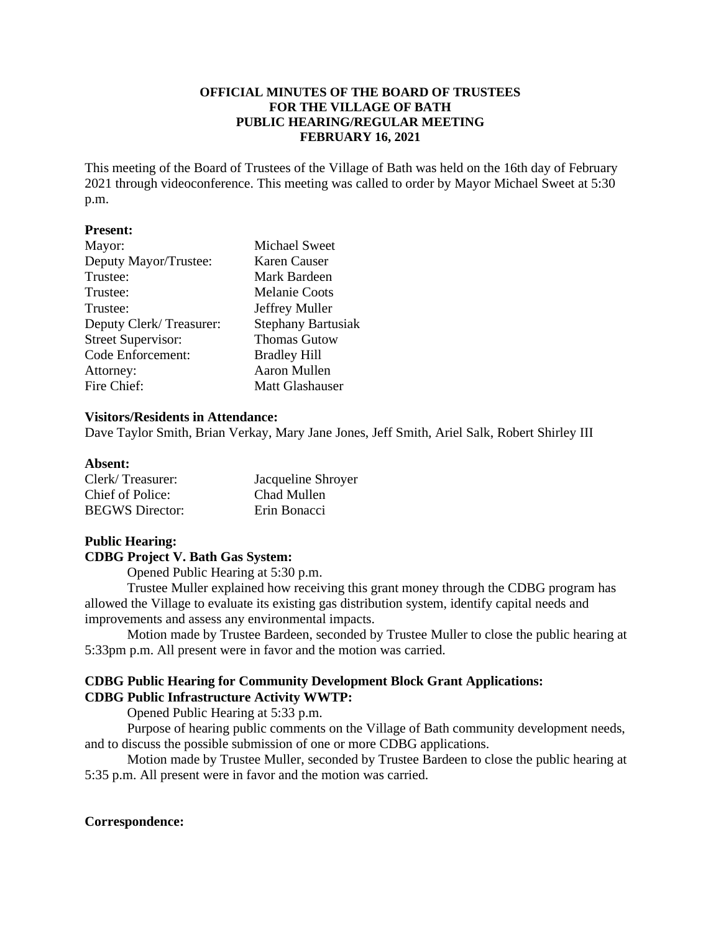## **OFFICIAL MINUTES OF THE BOARD OF TRUSTEES FOR THE VILLAGE OF BATH PUBLIC HEARING/REGULAR MEETING FEBRUARY 16, 2021**

This meeting of the Board of Trustees of the Village of Bath was held on the 16th day of February 2021 through videoconference. This meeting was called to order by Mayor Michael Sweet at 5:30 p.m.

## **Present:**

| Mayor:                    | <b>Michael Sweet</b>      |
|---------------------------|---------------------------|
| Deputy Mayor/Trustee:     | Karen Causer              |
| Trustee:                  | Mark Bardeen              |
| Trustee:                  | <b>Melanie Coots</b>      |
| Trustee:                  | Jeffrey Muller            |
| Deputy Clerk/Treasurer:   | <b>Stephany Bartusiak</b> |
| <b>Street Supervisor:</b> | <b>Thomas Gutow</b>       |
| Code Enforcement:         | <b>Bradley Hill</b>       |
| Attorney:                 | Aaron Mullen              |
| Fire Chief:               | Matt Glashauser           |

#### **Visitors/Residents in Attendance:**

Dave Taylor Smith, Brian Verkay, Mary Jane Jones, Jeff Smith, Ariel Salk, Robert Shirley III

#### **Absent:**

| Clerk/Treasurer:       | Jacqueline Shroyer |
|------------------------|--------------------|
| Chief of Police:       | Chad Mullen        |
| <b>BEGWS</b> Director: | Erin Bonacci       |

# **Public Hearing:**

## **CDBG Project V. Bath Gas System:**

Opened Public Hearing at 5:30 p.m.

Trustee Muller explained how receiving this grant money through the CDBG program has allowed the Village to evaluate its existing gas distribution system, identify capital needs and improvements and assess any environmental impacts.

Motion made by Trustee Bardeen, seconded by Trustee Muller to close the public hearing at 5:33pm p.m. All present were in favor and the motion was carried.

## **CDBG Public Hearing for Community Development Block Grant Applications: CDBG Public Infrastructure Activity WWTP:**

Opened Public Hearing at 5:33 p.m.

Purpose of hearing public comments on the Village of Bath community development needs, and to discuss the possible submission of one or more CDBG applications.

Motion made by Trustee Muller, seconded by Trustee Bardeen to close the public hearing at 5:35 p.m. All present were in favor and the motion was carried.

## **Correspondence:**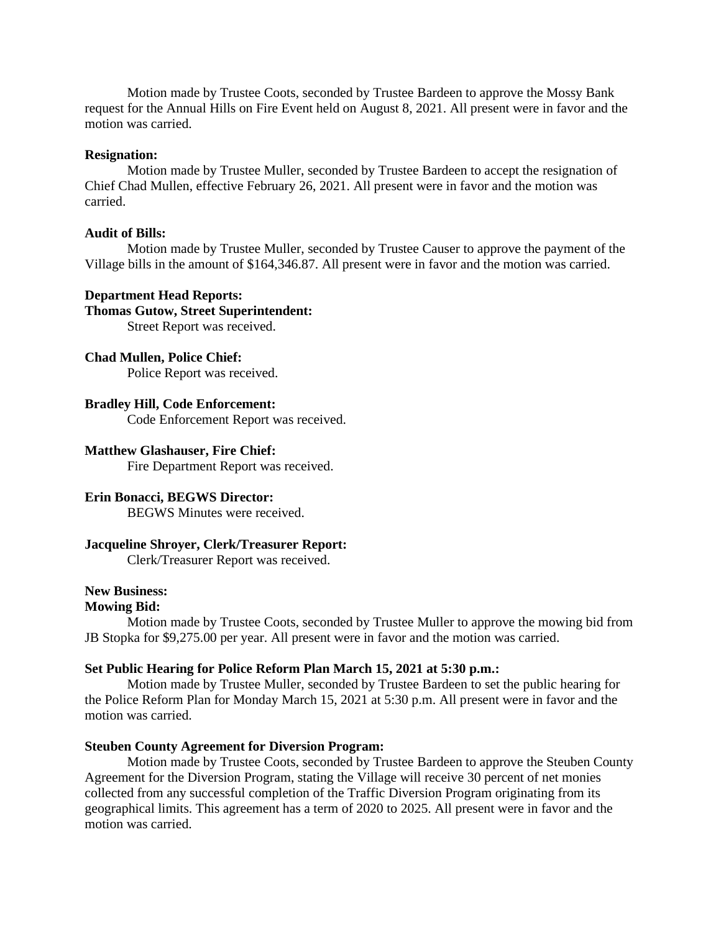Motion made by Trustee Coots, seconded by Trustee Bardeen to approve the Mossy Bank request for the Annual Hills on Fire Event held on August 8, 2021. All present were in favor and the motion was carried.

#### **Resignation:**

Motion made by Trustee Muller, seconded by Trustee Bardeen to accept the resignation of Chief Chad Mullen, effective February 26, 2021. All present were in favor and the motion was carried.

## **Audit of Bills:**

Motion made by Trustee Muller, seconded by Trustee Causer to approve the payment of the Village bills in the amount of \$164,346.87. All present were in favor and the motion was carried.

#### **Department Head Reports:**

## **Thomas Gutow, Street Superintendent:**

Street Report was received.

## **Chad Mullen, Police Chief:**

Police Report was received.

## **Bradley Hill, Code Enforcement:**

Code Enforcement Report was received.

## **Matthew Glashauser, Fire Chief:**

Fire Department Report was received.

## **Erin Bonacci, BEGWS Director:**

BEGWS Minutes were received.

## **Jacqueline Shroyer, Clerk/Treasurer Report:**

Clerk/Treasurer Report was received.

## **New Business:**

## **Mowing Bid:**

Motion made by Trustee Coots, seconded by Trustee Muller to approve the mowing bid from JB Stopka for \$9,275.00 per year. All present were in favor and the motion was carried.

## **Set Public Hearing for Police Reform Plan March 15, 2021 at 5:30 p.m.:**

Motion made by Trustee Muller, seconded by Trustee Bardeen to set the public hearing for the Police Reform Plan for Monday March 15, 2021 at 5:30 p.m. All present were in favor and the motion was carried.

## **Steuben County Agreement for Diversion Program:**

Motion made by Trustee Coots, seconded by Trustee Bardeen to approve the Steuben County Agreement for the Diversion Program, stating the Village will receive 30 percent of net monies collected from any successful completion of the Traffic Diversion Program originating from its geographical limits. This agreement has a term of 2020 to 2025. All present were in favor and the motion was carried.